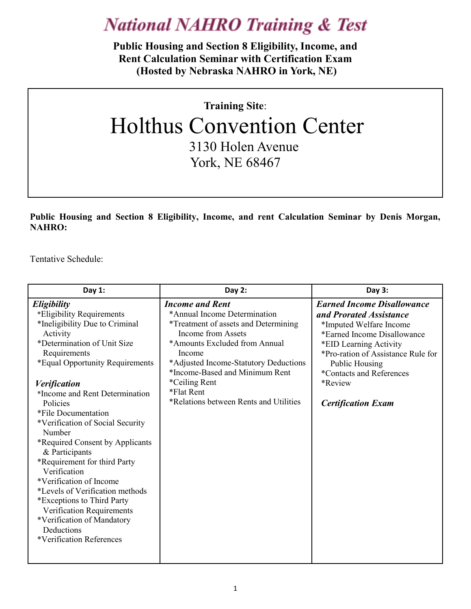**Public Housing and Section 8 Eligibility, Income, and Rent Calculation Seminar with Certification Exam (Hosted by Nebraska NAHRO in York, NE)** 

## **Training Site**: Holthus Convention Center 3130 Holen Avenue York, NE 68467

**Public Housing and Section 8 Eligibility, Income, and rent Calculation Seminar by Denis Morgan, NAHRO:**

Tentative Schedule:

| Day $1:$                                                                                                                                                                                                                                                                                                                                                                                                                                           | Day $2:$                                                                                                                                                                                                                                                                                                                   | Day 3:                                                                                                                                                                                                                                                                       |
|----------------------------------------------------------------------------------------------------------------------------------------------------------------------------------------------------------------------------------------------------------------------------------------------------------------------------------------------------------------------------------------------------------------------------------------------------|----------------------------------------------------------------------------------------------------------------------------------------------------------------------------------------------------------------------------------------------------------------------------------------------------------------------------|------------------------------------------------------------------------------------------------------------------------------------------------------------------------------------------------------------------------------------------------------------------------------|
| Eligibility<br>*Eligibility Requirements<br>*Ineligibility Due to Criminal<br>Activity<br>*Determination of Unit Size<br>Requirements<br>*Equal Opportunity Requirements<br><b>Verification</b><br>*Income and Rent Determination<br>Policies<br>*File Documentation<br>*Verification of Social Security<br>Number<br>*Required Consent by Applicants<br>& Participants<br>*Requirement for third Party<br>Verification<br>*Verification of Income | <b>Income and Rent</b><br>*Annual Income Determination<br><i>*Treatment of assets and Determining</i><br>Income from Assets<br>*Amounts Excluded from Annual<br>Income<br>*Adjusted Income-Statutory Deductions<br>*Income-Based and Minimum Rent<br>*Ceiling Rent<br>*Flat Rent<br>*Relations between Rents and Utilities | <b>Earned Income Disallowance</b><br>and Prorated Assistance<br>*Imputed Welfare Income<br>*Earned Income Disallowance<br>*EID Learning Activity<br>*Pro-ration of Assistance Rule for<br>Public Housing<br>*Contacts and References<br>*Review<br><b>Certification Exam</b> |
| *Levels of Verification methods<br>*Exceptions to Third Party<br>Verification Requirements<br>*Verification of Mandatory<br>Deductions<br>*Verification References                                                                                                                                                                                                                                                                                 |                                                                                                                                                                                                                                                                                                                            |                                                                                                                                                                                                                                                                              |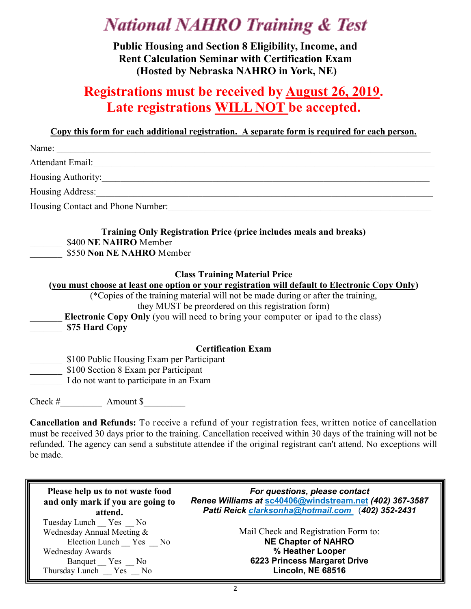**Public Housing and Section 8 Eligibility, Income, and Rent Calculation Seminar with Certification Exam (Hosted by Nebraska NAHRO in York, NE)** 

### **Registrations must be received by August 26, 2019. Late registrations WILL NOT be accepted.**

#### **Copy this form for each additional registration. A separate form is required for each person.**

|                                           | Name:                                                                                                                                                                                                                               |  |
|-------------------------------------------|-------------------------------------------------------------------------------------------------------------------------------------------------------------------------------------------------------------------------------------|--|
|                                           |                                                                                                                                                                                                                                     |  |
|                                           | Housing Authority:                                                                                                                                                                                                                  |  |
|                                           | Housing Address: <u>Container and the second second</u> second second second second second second second second second second second second second second second second second second second second second second second second sec |  |
|                                           | Housing Contact and Phone Number: 1986. The Museum of the Museum of the Museum of the Museum of the Museum of the Museum of the Museum of the Museum of the Museum of the Museum of the Museum of the Museum of the Museum of       |  |
|                                           | <b>Training Only Registration Price (price includes meals and breaks)</b><br>\$400 NE NAHRO Member                                                                                                                                  |  |
|                                           | \$550 Non NE NAHRO Member                                                                                                                                                                                                           |  |
|                                           | <b>Class Training Material Price</b>                                                                                                                                                                                                |  |
|                                           | (you must choose at least one option or your registration will default to Electronic Copy Only)                                                                                                                                     |  |
|                                           | (*Copies of the training material will not be made during or after the training,<br>they MUST be preordered on this registration form)                                                                                              |  |
|                                           | Electronic Copy Only (you will need to bring your computer or ipad to the class)                                                                                                                                                    |  |
|                                           | \$75 Hard Copy                                                                                                                                                                                                                      |  |
|                                           | <b>Certification Exam</b>                                                                                                                                                                                                           |  |
| \$100 Public Housing Exam per Participant |                                                                                                                                                                                                                                     |  |
|                                           | \$100 Section 8 Exam per Participant                                                                                                                                                                                                |  |
|                                           | I do not want to participate in an Exam                                                                                                                                                                                             |  |
| Check $#$                                 | Amount \$                                                                                                                                                                                                                           |  |

**Cancellation and Refunds:** To receive a refund of your registration fees, written notice of cancellation must be received 30 days prior to the training. Cancellation received within 30 days of the training will not be refunded. The agency can send a substitute attendee if the original registrant can't attend. No exceptions will be made.

| Please help us to not waste food                                                                                                           | For questions, please contact                                                                                                               |
|--------------------------------------------------------------------------------------------------------------------------------------------|---------------------------------------------------------------------------------------------------------------------------------------------|
| and only mark if you are going to                                                                                                          | Renee Williams at sc40406@windstream.net (402) 367-3587                                                                                     |
| attend.                                                                                                                                    | Patti Reick clarksonha@hotmail.com (402) 352-2431                                                                                           |
| Tuesday Lunch Yes No<br>Wednesday Annual Meeting &<br>Election Lunch Yes No<br>Wednesday Awards<br>Banquet Yes No<br>Thursday Lunch Yes No | Mail Check and Registration Form to:<br><b>NE Chapter of NAHRO</b><br>% Heather Looper<br>6223 Princess Margaret Drive<br>Lincoln, NE 68516 |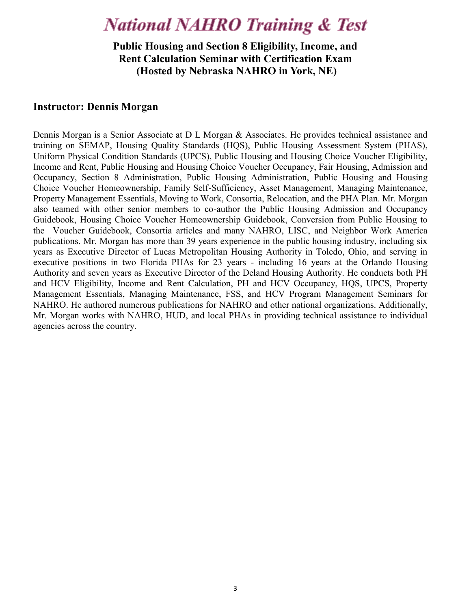**Public Housing and Section 8 Eligibility, Income, and Rent Calculation Seminar with Certification Exam (Hosted by Nebraska NAHRO in York, NE)** 

#### **Instructor: Dennis Morgan**

Dennis Morgan is a Senior Associate at D L Morgan & Associates. He provides technical assistance and training on SEMAP, Housing Quality Standards (HQS), Public Housing Assessment System (PHAS), Uniform Physical Condition Standards (UPCS), Public Housing and Housing Choice Voucher Eligibility, Income and Rent, Public Housing and Housing Choice Voucher Occupancy, Fair Housing, Admission and Occupancy, Section 8 Administration, Public Housing Administration, Public Housing and Housing Choice Voucher Homeownership, Family Self-Sufficiency, Asset Management, Managing Maintenance, Property Management Essentials, Moving to Work, Consortia, Relocation, and the PHA Plan. Mr. Morgan also teamed with other senior members to co-author the Public Housing Admission and Occupancy Guidebook, Housing Choice Voucher Homeownership Guidebook, Conversion from Public Housing to the Voucher Guidebook, Consortia articles and many NAHRO, LISC, and Neighbor Work America publications. Mr. Morgan has more than 39 years experience in the public housing industry, including six years as Executive Director of Lucas Metropolitan Housing Authority in Toledo, Ohio, and serving in executive positions in two Florida PHAs for 23 years - including 16 years at the Orlando Housing Authority and seven years as Executive Director of the Deland Housing Authority. He conducts both PH and HCV Eligibility, Income and Rent Calculation, PH and HCV Occupancy, HQS, UPCS, Property Management Essentials, Managing Maintenance, FSS, and HCV Program Management Seminars for NAHRO. He authored numerous publications for NAHRO and other national organizations. Additionally, Mr. Morgan works with NAHRO, HUD, and local PHAs in providing technical assistance to individual agencies across the country.